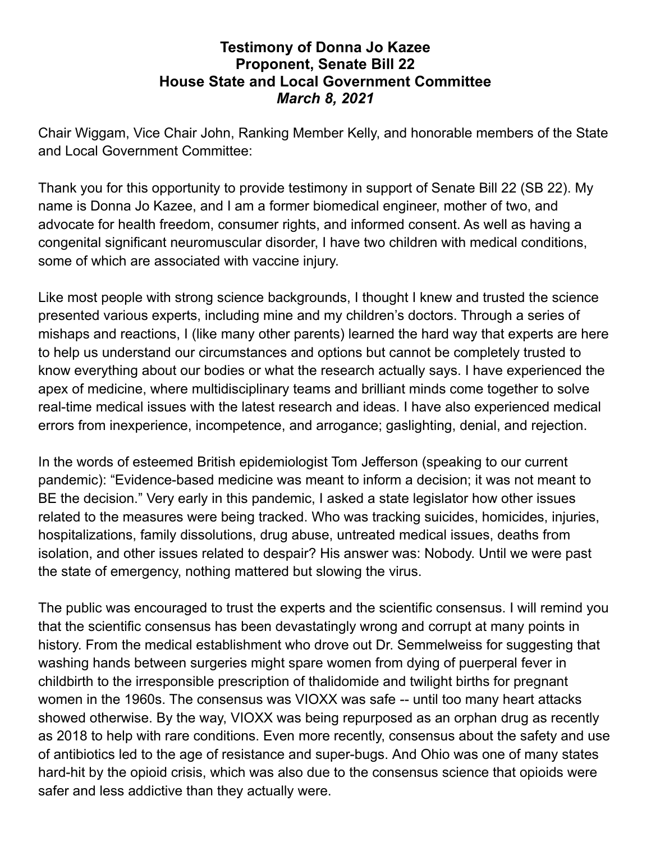## **Testimony of Donna Jo Kazee Proponent, Senate Bill 22 House State and Local Government Committee** *March 8, 2021*

Chair Wiggam, Vice Chair John, Ranking Member Kelly, and honorable members of the State and Local Government Committee:

Thank you for this opportunity to provide testimony in support of Senate Bill 22 (SB 22). My name is Donna Jo Kazee, and I am a former biomedical engineer, mother of two, and advocate for health freedom, consumer rights, and informed consent. As well as having a congenital significant neuromuscular disorder, I have two children with medical conditions, some of which are associated with vaccine injury.

Like most people with strong science backgrounds, I thought I knew and trusted the science presented various experts, including mine and my children's doctors. Through a series of mishaps and reactions, I (like many other parents) learned the hard way that experts are here to help us understand our circumstances and options but cannot be completely trusted to know everything about our bodies or what the research actually says. I have experienced the apex of medicine, where multidisciplinary teams and brilliant minds come together to solve real-time medical issues with the latest research and ideas. I have also experienced medical errors from inexperience, incompetence, and arrogance; gaslighting, denial, and rejection.

In the words of esteemed British epidemiologist Tom Jefferson (speaking to our current pandemic): "Evidence-based medicine was meant to inform a decision; it was not meant to BE the decision." Very early in this pandemic, I asked a state legislator how other issues related to the measures were being tracked. Who was tracking suicides, homicides, injuries, hospitalizations, family dissolutions, drug abuse, untreated medical issues, deaths from isolation, and other issues related to despair? His answer was: Nobody. Until we were past the state of emergency, nothing mattered but slowing the virus.

The public was encouraged to trust the experts and the scientific consensus. I will remind you that the scientific consensus has been devastatingly wrong and corrupt at many points in history. From the medical establishment who drove out Dr. Semmelweiss for suggesting that washing hands between surgeries might spare women from dying of puerperal fever in childbirth to the irresponsible prescription of thalidomide and twilight births for pregnant women in the 1960s. The consensus was VIOXX was safe -- until too many heart attacks showed otherwise. By the way, VIOXX was being repurposed as an orphan drug as recently as 2018 to help with rare conditions. Even more recently, consensus about the safety and use of antibiotics led to the age of resistance and super-bugs. And Ohio was one of many states hard-hit by the opioid crisis, which was also due to the consensus science that opioids were safer and less addictive than they actually were.